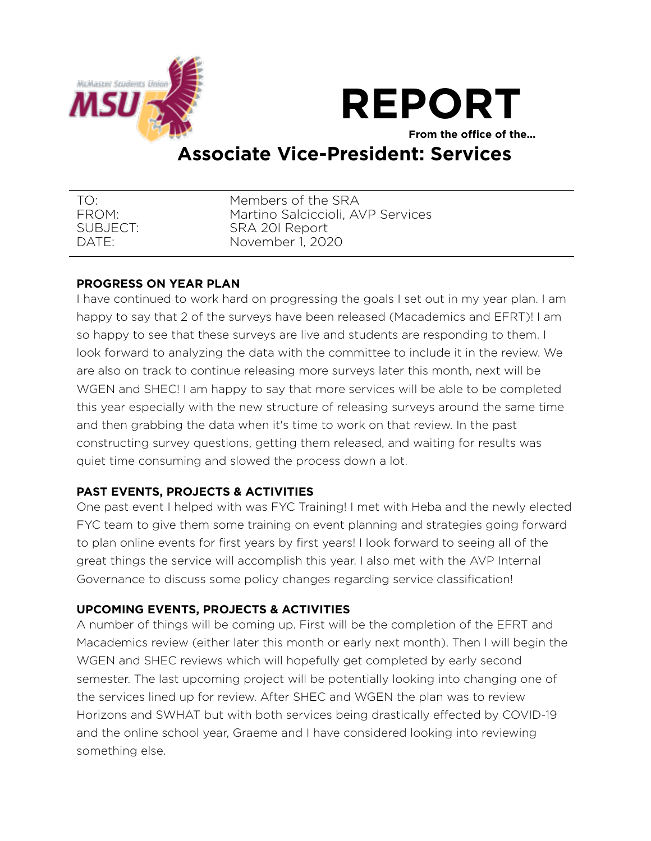



**From the office of the…** 

# **Associate Vice-President: Services**

| TO <sup>.</sup> | Members of the SRA                |
|-----------------|-----------------------------------|
| FROM:           | Martino Salciccioli, AVP Services |
| SUBJECT:        | SRA 201 Report                    |
| DATE:           | November 1, 2020                  |

## **PROGRESS ON YEAR PLAN**

I have continued to work hard on progressing the goals I set out in my year plan. I am happy to say that 2 of the surveys have been released (Macademics and EFRT)! I am so happy to see that these surveys are live and students are responding to them. I look forward to analyzing the data with the committee to include it in the review. We are also on track to continue releasing more surveys later this month, next will be WGEN and SHEC! I am happy to say that more services will be able to be completed this year especially with the new structure of releasing surveys around the same time and then grabbing the data when it's time to work on that review. In the past constructing survey questions, getting them released, and waiting for results was quiet time consuming and slowed the process down a lot.

## **PAST EVENTS, PROJECTS & ACTIVITIES**

One past event I helped with was FYC Training! I met with Heba and the newly elected FYC team to give them some training on event planning and strategies going forward to plan online events for first years by first years! I look forward to seeing all of the great things the service will accomplish this year. I also met with the AVP Internal Governance to discuss some policy changes regarding service classification!

## **UPCOMING EVENTS, PROJECTS & ACTIVITIES**

A number of things will be coming up. First will be the completion of the EFRT and Macademics review (either later this month or early next month). Then I will begin the WGEN and SHEC reviews which will hopefully get completed by early second semester. The last upcoming project will be potentially looking into changing one of the services lined up for review. After SHEC and WGEN the plan was to review Horizons and SWHAT but with both services being drastically effected by COVID-19 and the online school year, Graeme and I have considered looking into reviewing something else.